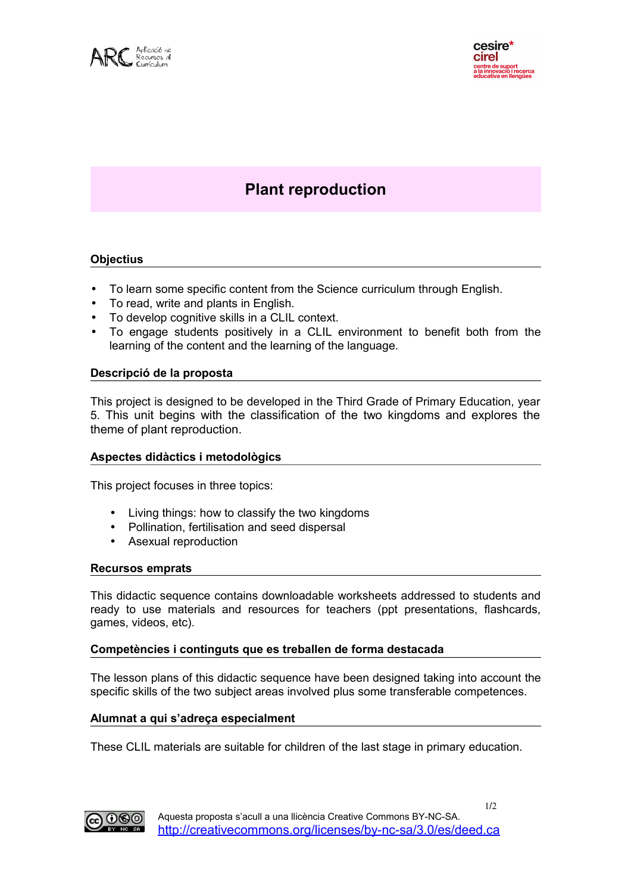

# **Plant reproduction**

## **Objectius**

- To learn some specific content from the Science curriculum through English.
- To read, write and plants in English.
- To develop cognitive skills in a CLIL context.
- To engage students positively in a CLIL environment to benefit both from the learning of the content and the learning of the language.

#### **Descripció de la proposta**

This project is designed to be developed in the Third Grade of Primary Education, year 5. This unit begins with the classification of the two kingdoms and explores the theme of plant reproduction.

#### **Aspectes didàctics i metodològics**

This project focuses in three topics:

- Living things: how to classify the two kingdoms
- Pollination, fertilisation and seed dispersal
- Asexual reproduction

## **Recursos emprats**

This didactic sequence contains downloadable worksheets addressed to students and ready to use materials and resources for teachers (ppt presentations, flashcards, games, videos, etc).

#### **Competències i continguts que es treballen de forma destacada**

The lesson plans of this didactic sequence have been designed taking into account the specific skills of the two subject areas involved plus some transferable competences.

#### **Alumnat a qui s'adreça especialment**

These CLIL materials are suitable for children of the last stage in primary education.